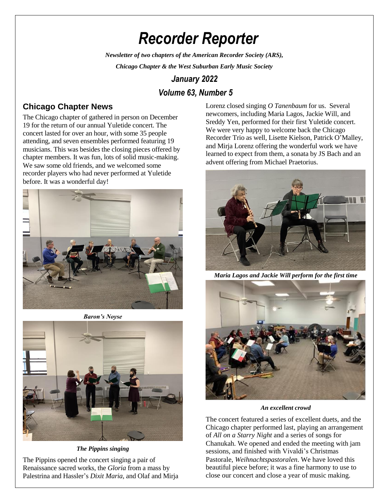# *Recorder Reporter*

*Newsletter of two chapters of the American Recorder Society (ARS),*

*Chicago Chapter & the West Suburban Early Music Society*

# *January 2022*

# *Volume 63, Number 5*

# **Chicago Chapter News**

The Chicago chapter of gathered in person on December 19 for the return of our annual Yuletide concert. The concert lasted for over an hour, with some 35 people attending, and seven ensembles performed featuring 19 musicians. This was besides the closing pieces offered by chapter members. It was fun, lots of solid music-making. We saw some old friends, and we welcomed some recorder players who had never performed at Yuletide before. It was a wonderful day!



*Baron's Noyse*



*The Pippins singing*

The Pippins opened the concert singing a pair of Renaissance sacred works, the *Gloria* from a mass by Palestrina and Hassler's *Dixit Maria*, and Olaf and Mirja Lorenz closed singing *O Tanenbaum* for us. Several newcomers, including Maria Lagos, Jackie Will, and Sreddy Yen, performed for their first Yuletide concert. We were very happy to welcome back the Chicago Recorder Trio as well, Lisette Kielson, Patrick O'Malley, and Mirja Lorenz offering the wonderful work we have learned to expect from them, a sonata by JS Bach and an advent offering from Michael Praetorius.



*Maria Lagos and Jackie Will perform for the first time* 



*An excellent crowd*

The concert featured a series of excellent duets, and the Chicago chapter performed last, playing an arrangement of *All on a Starry Night* and a series of songs for Chanukah. We opened and ended the meeting with jam sessions, and finished with Vivaldi's Christmas Pastorale, *Weihnachtspastoralen*. We have loved this beautiful piece before; it was a fine harmony to use to close our concert and close a year of music making.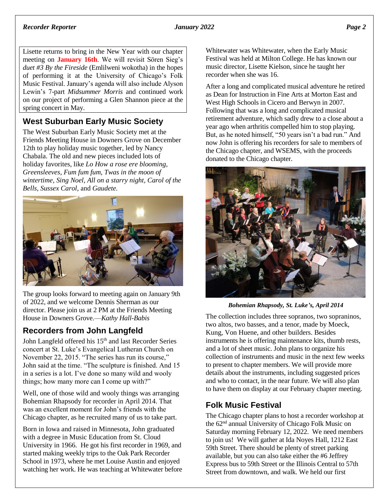#### *Recorder Reporter January 2022 Page 2*

Lisette returns to bring in the New Year with our chapter meeting on **January 16th**. We will revisit Sören Sieg's *duet #3 By the Fireside* (Emlilweni wokotha) in the hopes of performing it at the University of Chicago's Folk Music Festival. January's agenda will also include Alyson Lewin's 7-part *Midsummer Morris* and continued work on our project of performing a Glen Shannon piece at the spring concert in May.

#### **West Suburban Early Music Society**

The West Suburban Early Music Society met at the Friends Meeting House in Downers Grove on December 12th to play holiday music together, led by Nancy Chabala. The old and new pieces included lots of holiday favorites, like *Lo How a rose ere blooming, Greensleeves, Fum fum fum, Twas in the moon of wintertime, Sing Noel, All on a starry night, Carol of the Bells, Sussex Carol,* and *Gaudete.*



The group looks forward to meeting again on January 9th of 2022, and we welcome Dennis Sherman as our director. Please join us at 2 PM at the Friends Meeting House in Downers Grove.—*Kathy Hall-Babis*

### **Recorders from John Langfeld**

John Langfeld offered his 15<sup>th</sup> and last Recorder Series concert at St. Luke's Evangelical Lutheran Church on November 22, 2015. "The series has run its course," John said at the time. "The sculpture is finished. And 15 in a series is a lot. I've done so many wild and wooly things; how many more can I come up with?"

Well, one of those wild and wooly things was arranging Bohemian Rhapsody for recorder in April 2014. That was an excellent moment for John's friends with the Chicago chapter, as he recruited many of us to take part.

Born in Iowa and raised in Minnesota, John graduated with a degree in Music Education from St. Cloud University in 1966. He got his first recorder in 1969, and started making weekly trips to the Oak Park Recorder School in 1973, where he met Louise Austin and enjoyed watching her work. He was teaching at Whitewater before Whitewater was Whitewater, when the Early Music Festival was held at Milton College. He has known our music director, Lisette Kielson, since he taught her recorder when she was 16.

After a long and complicated musical adventure he retired as Dean for Instruction in Fine Arts at Morton East and West High Schools in Cicero and Berwyn in 2007. Following that was a long and complicated musical retirement adventure, which sadly drew to a close about a year ago when arthritis compelled him to stop playing. But, as he noted himself, "50 years isn't a bad run." And now John is offering his recorders for sale to members of the Chicago chapter, and WSEMS, with the proceeds donated to the Chicago chapter.



*Bohemian Rhapsody, St. Luke's, April 2014*

The collection includes three sopranos, two sopraninos, two altos, two basses, and a tenor, made by Moeck, Kung, Von Huene, and other builders. Besides instruments he is offering maintenance kits, thumb rests, and a lot of sheet music. John plans to organize his collection of instruments and music in the next few weeks to present to chapter members. We will provide more details about the instruments, including suggested prices and who to contact, in the near future. We will also plan to have them on display at our February chapter meeting.

#### **Folk Music Festival**

The Chicago chapter plans to host a recorder workshop at the 62nd annual University of Chicago Folk Music on Saturday morning February 12, 2022. We need members to join us! We will gather at Ida Noyes Hall, 1212 East 59th Street. There should be plenty of street parking available, but you can also take either the #6 Jeffrey Express bus to 59th Street or the Illinois Central to 57th Street from downtown, and walk. We held our first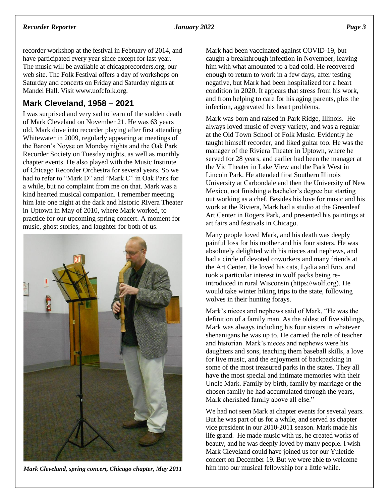recorder workshop at the festival in February of 2014, and have participated every year since except for last year. The music will be available at chicagorecorders.org, our web site. The Folk Festival offers a day of workshops on Saturday and concerts on Friday and Saturday nights at Mandel Hall. Visit www.uofcfolk.org.

## **Mark Cleveland, 1958 – 2021**

I was surprised and very sad to learn of the sudden death of Mark Cleveland on November 21. He was 63 years old. Mark dove into recorder playing after first attending Whitewater in 2009, regularly appearing at meetings of the Baron's Noyse on Monday nights and the Oak Park Recorder Society on Tuesday nights, as well as monthly chapter events. He also played with the Music Institute of Chicago Recorder Orchestra for several years. So we had to refer to "Mark D" and "Mark C" in Oak Park for a while, but no complaint from me on that. Mark was a kind hearted musical companion. I remember meeting him late one night at the dark and historic Rivera Theater in Uptown in May of 2010, where Mark worked, to practice for our upcoming spring concert. A moment for music, ghost stories, and laughter for both of us.



*Mark Cleveland, spring concert, Chicago chapter, May 2011*

Mark had been vaccinated against COVID-19, but caught a breakthrough infection in November, leaving him with what amounted to a bad cold. He recovered enough to return to work in a few days, after testing negative, but Mark had been hospitalized for a heart condition in 2020. It appears that stress from his work, and from helping to care for his aging parents, plus the infection, aggravated his heart problems.

Mark was born and raised in Park Ridge, Illinois. He always loved music of every variety, and was a regular at the Old Town School of Folk Music. Evidently he taught himself recorder, and liked guitar too. He was the manager of the Riviera Theater in Uptown, where he served for 28 years, and earlier had been the manager at the Vic Theater in Lake View and the Park West in Lincoln Park. He attended first Southern Illinois University at Carbondale and then the University of New Mexico, not finishing a bachelor's degree but starting out working as a chef. Besides his love for music and his work at the Riviera, Mark had a studio at the Greenleaf Art Center in Rogers Park, and presented his paintings at art fairs and festivals in Chicago.

Many people loved Mark, and his death was deeply painful loss for his mother and his four sisters. He was absolutely delighted with his nieces and nephews, and had a circle of devoted coworkers and many friends at the Art Center. He loved his cats, Lydia and Eno, and took a particular interest in wolf packs being reintroduced in rural Wisconsin (https://wolf.org). He would take winter hiking trips to the state, following wolves in their hunting forays.

Mark's nieces and nephews said of Mark, "He was the definition of a family man. As the oldest of five siblings, Mark was always including his four sisters in whatever shenanigans he was up to. He carried the role of teacher and historian. Mark's nieces and nephews were his daughters and sons, teaching them baseball skills, a love for live music, and the enjoyment of backpacking in some of the most treasured parks in the states. They all have the most special and intimate memories with their Uncle Mark. Family by birth, family by marriage or the chosen family he had accumulated through the years, Mark cherished family above all else."

We had not seen Mark at chapter events for several years. But he was part of us for a while, and served as chapter vice president in our 2010-2011 season. Mark made his life grand. He made music with us, he created works of beauty, and he was deeply loved by many people. I wish Mark Cleveland could have joined us for our Yuletide concert on December 19. But we were able to welcome him into our musical fellowship for a little while.